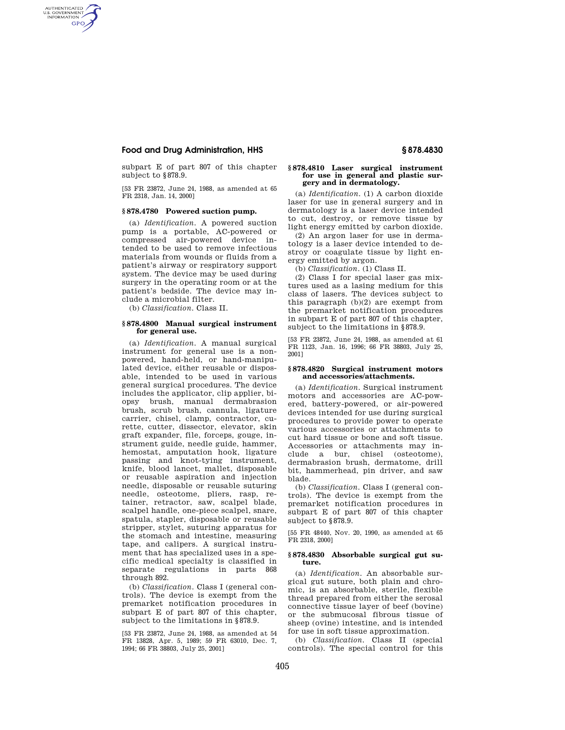## **Food and Drug Administration, HHS § 878.4830**

AUTHENTICATED<br>U.S. GOVERNMENT<br>INFORMATION **GPO** 

> subpart E of part 807 of this chapter subject to §878.9.

> [53 FR 23872, June 24, 1988, as amended at 65 FR 2318, Jan. 14, 2000]

### **§ 878.4780 Powered suction pump.**

(a) *Identification.* A powered suction pump is a portable, AC-powered or compressed air-powered device intended to be used to remove infectious materials from wounds or fluids from a patient's airway or respiratory support system. The device may be used during surgery in the operating room or at the patient's bedside. The device may include a microbial filter.

(b) *Classification.* Class II.

#### **§ 878.4800 Manual surgical instrument for general use.**

(a) *Identification.* A manual surgical instrument for general use is a nonpowered, hand-held, or hand-manipulated device, either reusable or disposable, intended to be used in various general surgical procedures. The device includes the applicator, clip applier, biopsy brush, manual dermabrasion brush, scrub brush, cannula, ligature carrier, chisel, clamp, contractor, curette, cutter, dissector, elevator, skin graft expander, file, forceps, gouge, instrument guide, needle guide, hammer, hemostat, amputation hook, ligature passing and knot-tying instrument, knife, blood lancet, mallet, disposable or reusable aspiration and injection needle, disposable or reusable suturing needle, osteotome, pliers, rasp, retainer, retractor, saw, scalpel blade, scalpel handle, one-piece scalpel, snare, spatula, stapler, disposable or reusable stripper, stylet, suturing apparatus for the stomach and intestine, measuring tape, and calipers. A surgical instrument that has specialized uses in a specific medical specialty is classified in separate regulations in parts 868 through 892.

(b) *Classification.* Class I (general controls). The device is exempt from the premarket notification procedures in subpart E of part 807 of this chapter, subject to the limitations in §878.9.

[53 FR 23872, June 24, 1988, as amended at 54 FR 13828, Apr. 5, 1989; 59 FR 63010, Dec. 7, 1994; 66 FR 38803, July 25, 2001]

#### **§ 878.4810 Laser surgical instrument for use in general and plastic surgery and in dermatology.**

(a) *Identification.* (1) A carbon dioxide laser for use in general surgery and in dermatology is a laser device intended to cut, destroy, or remove tissue by light energy emitted by carbon dioxide.

(2) An argon laser for use in dermatology is a laser device intended to destroy or coagulate tissue by light energy emitted by argon.

(b) *Classification.* (1) Class II.

(2) Class I for special laser gas mixtures used as a lasing medium for this class of lasers. The devices subject to this paragraph (b)(2) are exempt from the premarket notification procedures in subpart E of part 807 of this chapter, subject to the limitations in §878.9.

[53 FR 23872, June 24, 1988, as amended at 61 FR 1123, Jan. 16, 1996; 66 FR 38803, July 25, 2001]

#### **§ 878.4820 Surgical instrument motors and accessories/attachments.**

(a) *Identification.* Surgical instrument motors and accessories are AC-powered, battery-powered, or air-powered devices intended for use during surgical procedures to provide power to operate various accessories or attachments to cut hard tissue or bone and soft tissue. Accessories or attachments may include a bur, chisel (osteotome), dermabrasion brush, dermatome, drill bit, hammerhead, pin driver, and saw blade.

(b) *Classification.* Class I (general controls). The device is exempt from the premarket notification procedures in subpart E of part 807 of this chapter subject to §878.9.

[55 FR 48440, Nov. 20, 1990, as amended at 65 FR 2318, 2000]

#### **§ 878.4830 Absorbable surgical gut suture.**

(a) *Identification.* An absorbable surgical gut suture, both plain and chromic, is an absorbable, sterile, flexible thread prepared from either the serosal connective tissue layer of beef (bovine) or the submucosal fibrous tissue of sheep (ovine) intestine, and is intended for use in soft tissue approximation.

(b) *Classification.* Class II (special controls). The special control for this